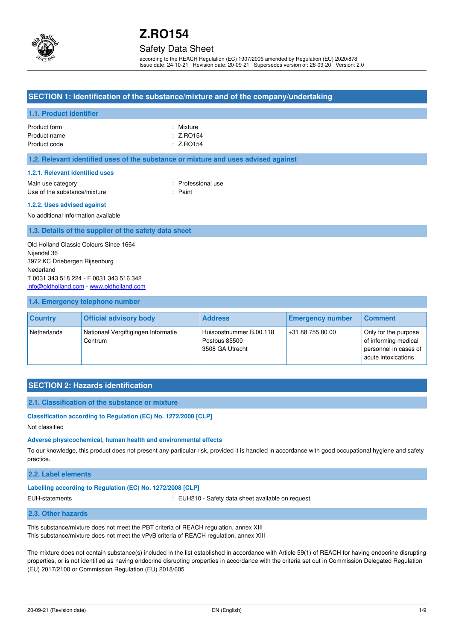

## Safety Data Sheet

according to the REACH Regulation (EC) 1907/2006 amended by Regulation (EU) 2020/878 Issue date: 24-10-21 Revision date: 20-09-21 Supersedes version of: 28-09-20 Version: 2.0

## **SECTION 1: Identification of the substance/mixture and of the company/undertaking**

## **1.1. Product identifier**

| Product form | : Mixture |
|--------------|-----------|
| Product name | : Z.RO154 |
| Product code | : Z.RO154 |

#### **1.2. Relevant identified uses of the substance or mixture and uses advised against**

#### **1.2.1. Relevant identified uses**

Main use category **Example 20** and the Main use category **in the Contract of Contract 20 and 10** and 10 and 10 and 10 and 10 and 10 and 10 and 10 and 10 and 10 and 10 and 10 and 10 and 10 and 10 and 10 and 10 and 10 and 10 Use of the substance/mixture in the substance in the set of the substance in the set of the set of the set of the set of the set of the set of the set of the set of the set of the set of the set of the set of the set of th

#### **1.2.2. Uses advised against**

No additional information available

### **1.3. Details of the supplier of the safety data sheet**

Old Holland Classic Colours Since 1664 Nijendal 36 3972 KC Driebergen Rijsenburg Nederland T 0031 343 518 224 - F 0031 343 516 342 [info@oldholland.com](mailto:info@oldholland.com) - [www.oldholland.com](http://www.oldholland.com/)

#### **1.4. Emergency telephone number**

| <b>Country</b> | <b>Official advisory body</b>                  | <b>Address</b>                                              | <b>Emergency number</b> | <b>Comment</b>                                                                               |
|----------------|------------------------------------------------|-------------------------------------------------------------|-------------------------|----------------------------------------------------------------------------------------------|
| Netherlands    | Nationaal Vergiftigingen Informatie<br>Centrum | Huispostnummer B.00.118<br>Postbus 85500<br>3508 GA Utrecht | +31 88 755 80 00        | Only for the purpose<br>of informing medical<br>personnel in cases of<br>acute intoxications |

## **SECTION 2: Hazards identification**

#### **2.1. Classification of the substance or mixture**

#### **Classification according to Regulation (EC) No. 1272/2008 [CLP]**

Not classified

#### **Adverse physicochemical, human health and environmental effects**

To our knowledge, this product does not present any particular risk, provided it is handled in accordance with good occupational hygiene and safety practice.

#### **2.2. Label elements**

### **Labelling according to Regulation (EC) No. 1272/2008 [CLP]**

EUH-statements : EUH210 - Safety data sheet available on request.

#### **2.3. Other hazards**

This substance/mixture does not meet the PBT criteria of REACH regulation, annex XIII This substance/mixture does not meet the vPvB criteria of REACH regulation, annex XIII

The mixture does not contain substance(s) included in the list established in accordance with Article 59(1) of REACH for having endocrine disrupting properties, or is not identified as having endocrine disrupting properties in accordance with the criteria set out in Commission Delegated Regulation (EU) 2017/2100 or Commission Regulation (EU) 2018/605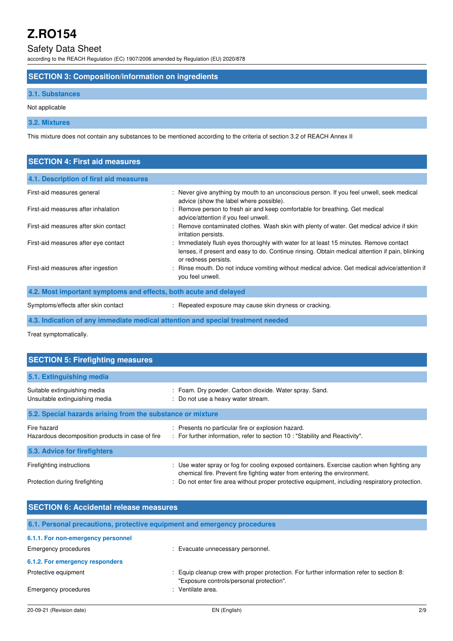## Safety Data Sheet

according to the REACH Regulation (EC) 1907/2006 amended by Regulation (EU) 2020/878

## **SECTION 3: Composition/information on ingredients**

## **3.1. Substances**

Not applicable

## **3.2. Mixtures**

This mixture does not contain any substances to be mentioned according to the criteria of section 3.2 of REACH Annex II

| <b>SECTION 4: First aid measures</b>                             |                                                                                                                                                                                                                   |  |  |
|------------------------------------------------------------------|-------------------------------------------------------------------------------------------------------------------------------------------------------------------------------------------------------------------|--|--|
| 4.1. Description of first aid measures                           |                                                                                                                                                                                                                   |  |  |
| First-aid measures general                                       | : Never give anything by mouth to an unconscious person. If you feel unwell, seek medical<br>advice (show the label where possible).                                                                              |  |  |
| First-aid measures after inhalation                              | : Remove person to fresh air and keep comfortable for breathing. Get medical<br>advice/attention if you feel unwell.                                                                                              |  |  |
| First-aid measures after skin contact                            | : Remove contaminated clothes. Wash skin with plenty of water. Get medical advice if skin<br>irritation persists.                                                                                                 |  |  |
| First-aid measures after eye contact                             | : Immediately flush eyes thoroughly with water for at least 15 minutes. Remove contact<br>lenses, if present and easy to do. Continue rinsing. Obtain medical attention if pain, blinking<br>or redness persists. |  |  |
| First-aid measures after ingestion                               | : Rinse mouth. Do not induce vomiting without medical advice. Get medical advice/attention if<br>you feel unwell.                                                                                                 |  |  |
| 4.2. Most important symptoms and effects, both acute and delayed |                                                                                                                                                                                                                   |  |  |
| Symptoms/effects after skin contact                              | : Repeated exposure may cause skin dryness or cracking.                                                                                                                                                           |  |  |

**4.3. Indication of any immediate medical attention and special treatment needed** 

Treat symptomatically.

| <b>SECTION 5: Firefighting measures</b>                         |                                                                                                                                                                          |  |  |
|-----------------------------------------------------------------|--------------------------------------------------------------------------------------------------------------------------------------------------------------------------|--|--|
| 5.1. Extinguishing media                                        |                                                                                                                                                                          |  |  |
| Suitable extinguishing media<br>Unsuitable extinguishing media  | : Foam. Dry powder. Carbon dioxide. Water spray. Sand.<br>: Do not use a heavy water stream.                                                                             |  |  |
| 5.2. Special hazards arising from the substance or mixture      |                                                                                                                                                                          |  |  |
| Fire hazard<br>Hazardous decomposition products in case of fire | : Presents no particular fire or explosion hazard.<br>: For further information, refer to section 10 : "Stability and Reactivity".                                       |  |  |
| 5.3. Advice for firefighters                                    |                                                                                                                                                                          |  |  |
| Firefighting instructions                                       | : Use water spray or fog for cooling exposed containers. Exercise caution when fighting any<br>chemical fire. Prevent fire fighting water from entering the environment. |  |  |
| Protection during firefighting                                  | : Do not enter fire area without proper protective equipment, including respiratory protection.                                                                          |  |  |

| <b>SECTION 6: Accidental release measures</b>                            |                                                                                                                                      |  |  |
|--------------------------------------------------------------------------|--------------------------------------------------------------------------------------------------------------------------------------|--|--|
| 6.1. Personal precautions, protective equipment and emergency procedures |                                                                                                                                      |  |  |
| 6.1.1. For non-emergency personnel                                       |                                                                                                                                      |  |  |
| Emergency procedures                                                     | Evacuate unnecessary personnel.                                                                                                      |  |  |
| 6.1.2. For emergency responders                                          |                                                                                                                                      |  |  |
| Protective equipment                                                     | : Equip cleanup crew with proper protection. For further information refer to section 8:<br>"Exposure controls/personal protection". |  |  |
| Emergency procedures                                                     | : Ventilate area.                                                                                                                    |  |  |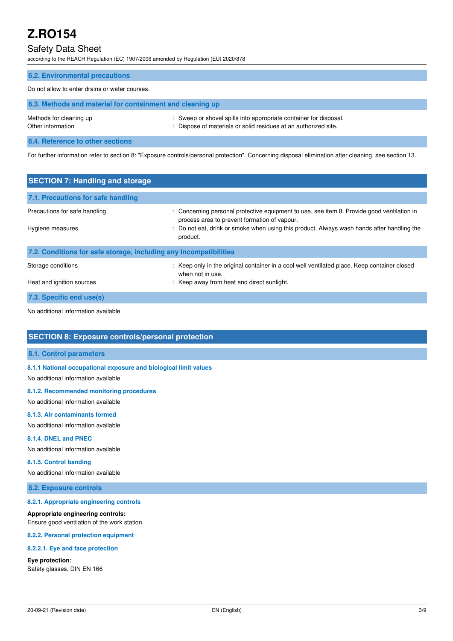## Safety Data Sheet

according to the REACH Regulation (EC) 1907/2006 amended by Regulation (EU) 2020/878

| <b>6.2. Environmental precautions</b>                     |                                                                                                                                      |  |
|-----------------------------------------------------------|--------------------------------------------------------------------------------------------------------------------------------------|--|
| Do not allow to enter drains or water courses.            |                                                                                                                                      |  |
| 6.3. Methods and material for containment and cleaning up |                                                                                                                                      |  |
| Methods for cleaning up<br>Other information              | : Sweep or shovel spills into appropriate container for disposal.<br>: Dispose of materials or solid residues at an authorized site. |  |
| 6.4. Reference to other sections                          |                                                                                                                                      |  |

For further information refer to section 8: "Exposure controls/personal protection". Concerning disposal elimination after cleaning, see section 13.

| <b>SECTION 7: Handling and storage</b>                            |                                                                                                                                            |  |  |
|-------------------------------------------------------------------|--------------------------------------------------------------------------------------------------------------------------------------------|--|--|
| 7.1. Precautions for safe handling                                |                                                                                                                                            |  |  |
| Precautions for safe handling                                     | : Concerning personal protective equipment to use, see item 8. Provide good ventilation in<br>process area to prevent formation of vapour. |  |  |
| Hygiene measures                                                  | : Do not eat, drink or smoke when using this product. Always wash hands after handling the<br>product.                                     |  |  |
| 7.2. Conditions for safe storage, including any incompatibilities |                                                                                                                                            |  |  |
| Storage conditions                                                | : Keep only in the original container in a cool well ventilated place. Keep container closed<br>when not in use.                           |  |  |
| Heat and ignition sources                                         | : Keep away from heat and direct sunlight.                                                                                                 |  |  |
| 7.3. Specific end use(s)                                          |                                                                                                                                            |  |  |

No additional information available

## **SECTION 8: Exposure controls/personal protection**

## **8.1. Control parameters**

**8.1.1 National occupational exposure and biological limit values** 

No additional information available

#### **8.1.2. Recommended monitoring procedures**

No additional information available

#### **8.1.3. Air contaminants formed**

No additional information available

#### **8.1.4. DNEL and PNEC**

No additional information available

## **8.1.5. Control banding**

No additional information available

### **8.2. Exposure controls**

#### **8.2.1. Appropriate engineering controls**

#### **Appropriate engineering controls:**

Ensure good ventilation of the work station.

#### **8.2.2. Personal protection equipment**

#### **8.2.2.1. Eye and face protection**

#### **Eye protection:**

Safety glasses. DIN EN 166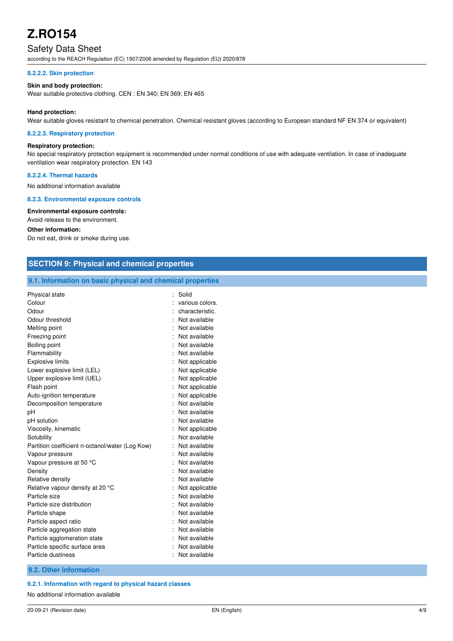## Safety Data Sheet

according to the REACH Regulation (EC) 1907/2006 amended by Regulation (EU) 2020/878

#### **8.2.2.2. Skin protection**

#### **Skin and body protection:**

Wear suitable protective clothing. CEN : EN 340; EN 369; EN 465

#### **Hand protection:**

Wear suitable gloves resistant to chemical penetration. Chemical resistant gloves (according to European standard NF EN 374 or equivalent)

#### **8.2.2.3. Respiratory protection**

### **Respiratory protection:**

No special respiratory protection equipment is recommended under normal conditions of use with adequate ventilation. In case of inadequate ventilation wear respiratory protection. EN 143

#### **8.2.2.4. Thermal hazards**

No additional information available

#### **8.2.3. Environmental exposure controls**

**Environmental exposure controls:**  Avoid release to the environment.

#### **Other information:**

Do not eat, drink or smoke during use.

| <b>SECTION 9: Physical and chemical properties</b>         |                 |  |
|------------------------------------------------------------|-----------------|--|
| 9.1. Information on basic physical and chemical properties |                 |  |
| Physical state                                             | : Solid         |  |
| Colour                                                     | various colors. |  |
| Odour                                                      | characteristic. |  |
| Odour threshold                                            | Not available   |  |
| Melting point                                              | Not available   |  |
| Freezing point                                             | Not available   |  |
| Boiling point                                              | Not available   |  |
| Flammability                                               | Not available   |  |
| <b>Explosive limits</b>                                    | Not applicable  |  |
| Lower explosive limit (LEL)                                | Not applicable  |  |
| Upper explosive limit (UEL)                                | Not applicable  |  |
| Flash point                                                | Not applicable  |  |
| Auto-ignition temperature                                  | Not applicable  |  |
| Decomposition temperature                                  | Not available   |  |
| pН                                                         | Not available   |  |
| pH solution                                                | Not available   |  |
| Viscosity, kinematic                                       | Not applicable  |  |
| Solubility                                                 | Not available   |  |
| Partition coefficient n-octanol/water (Log Kow)            | Not available   |  |
| Vapour pressure                                            | Not available   |  |
| Vapour pressure at 50 °C                                   | Not available   |  |
| Density                                                    | Not available   |  |
| Relative density                                           | Not available   |  |
| Relative vapour density at 20 °C                           | Not applicable  |  |
| Particle size                                              | Not available   |  |
| Particle size distribution                                 | Not available   |  |
| Particle shape                                             | Not available   |  |
| Particle aspect ratio                                      | Not available   |  |
| Particle aggregation state                                 | Not available   |  |
| Particle agglomeration state                               | Not available   |  |
| Particle specific surface area                             | Not available   |  |
| Particle dustiness                                         | Not available   |  |
| 9.2. Other information                                     |                 |  |

#### **9.2.1. Information with regard to physical hazard classes**

No additional information available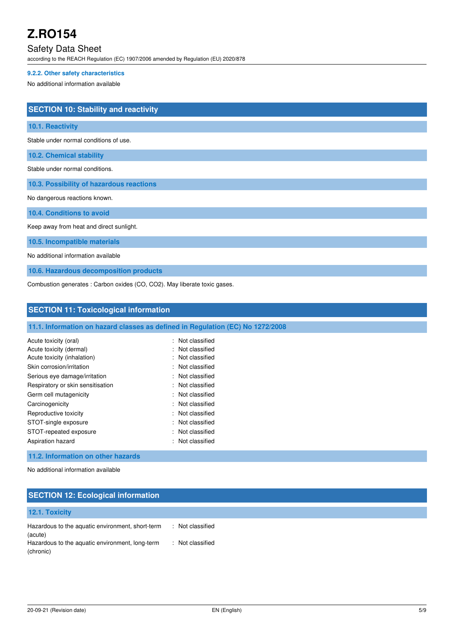## Safety Data Sheet

according to the REACH Regulation (EC) 1907/2006 amended by Regulation (EU) 2020/878

## **9.2.2. Other safety characteristics**

No additional information available

| <b>SECTION 10: Stability and reactivity</b>                               |
|---------------------------------------------------------------------------|
| 10.1. Reactivity                                                          |
| Stable under normal conditions of use.                                    |
| <b>10.2. Chemical stability</b>                                           |
| Stable under normal conditions.                                           |
| 10.3. Possibility of hazardous reactions                                  |
| No dangerous reactions known.                                             |
| 10.4. Conditions to avoid                                                 |
| Keep away from heat and direct sunlight.                                  |
| 10.5. Incompatible materials                                              |
| No additional information available                                       |
| 10.6. Hazardous decomposition products                                    |
| Combustion generates : Carbon oxides (CO, CO2). May liberate toxic gases. |

**SECTION 11: Toxicological information** 

| 11.1. Information on hazard classes as defined in Regulation (EC) No 1272/2008 |  |
|--------------------------------------------------------------------------------|--|
|--------------------------------------------------------------------------------|--|

| Acute toxicity (oral)<br>Acute toxicity (dermal)<br>Acute toxicity (inhalation) | : Not classified<br>: Not classified<br>: Not classified |
|---------------------------------------------------------------------------------|----------------------------------------------------------|
| Skin corrosion/irritation                                                       | : Not classified                                         |
| Serious eye damage/irritation                                                   | : Not classified                                         |
| Respiratory or skin sensitisation                                               | : Not classified                                         |
| Germ cell mutagenicity                                                          | : Not classified                                         |
| Carcinogenicity                                                                 | : Not classified                                         |
| Reproductive toxicity                                                           | : Not classified                                         |
| STOT-single exposure                                                            | : Not classified                                         |
| STOT-repeated exposure                                                          | : Not classified                                         |
| Aspiration hazard                                                               | : Not classified                                         |

## **11.2. Information on other hazards**

No additional information available

## **SECTION 12: Ecological information**

#### **12.1. Toxicity**  Hazardous to the aquatic environment, short-term (acute) : Not classified Hazardous to the aquatic environment, long-term (chronic) : Not classified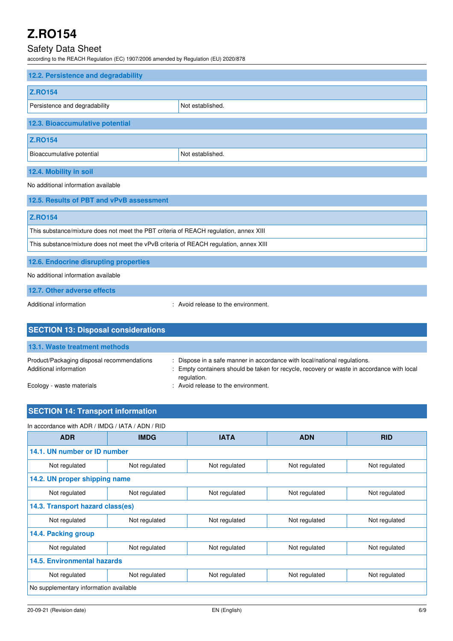## Safety Data Sheet

according to the REACH Regulation (EC) 1907/2006 amended by Regulation (EU) 2020/878

| 12.2. Persistence and degradability                                                                                                                                                                                               |                  |  |
|-----------------------------------------------------------------------------------------------------------------------------------------------------------------------------------------------------------------------------------|------------------|--|
| <b>Z.RO154</b>                                                                                                                                                                                                                    |                  |  |
| Persistence and degradability                                                                                                                                                                                                     | Not established. |  |
| 12.3. Bioaccumulative potential                                                                                                                                                                                                   |                  |  |
| <b>Z.RO154</b>                                                                                                                                                                                                                    |                  |  |
| Bioaccumulative potential                                                                                                                                                                                                         | Not established. |  |
| 12.4. Mobility in soil                                                                                                                                                                                                            |                  |  |
| $\mathbf{r}$ . The contract of the contract of the contract of the contract of the contract of the contract of the contract of the contract of the contract of the contract of the contract of the contract of the contract of th |                  |  |

No additional information available

| 12.5. Results of PBT and vPvB assessment                                               |
|----------------------------------------------------------------------------------------|
| <b>Z.RO154</b>                                                                         |
| This substance/mixture does not meet the PBT criteria of REACH regulation, annex XIII  |
| This substance/mixture does not meet the vPvB criteria of REACH regulation, annex XIII |
| 12.6. Endocrine disrupting properties                                                  |

No additional information available

**12.7. Other adverse effects** 

Additional information  $\blacksquare$  : Avoid release to the environment.

| <b>SECTION 13: Disposal considerations</b>                           |                                                                                                                                                                                        |
|----------------------------------------------------------------------|----------------------------------------------------------------------------------------------------------------------------------------------------------------------------------------|
| 13.1. Waste treatment methods                                        |                                                                                                                                                                                        |
| Product/Packaging disposal recommendations<br>Additional information | : Dispose in a safe manner in accordance with local/national regulations.<br>: Empty containers should be taken for recycle, recovery or waste in accordance with local<br>regulation. |
| Ecology - waste materials                                            | : Avoid release to the environment.                                                                                                                                                    |

## **SECTION 14: Transport information**

In accordance with ADR / IMDG / IATA / ADN / RID

| <b>ADR</b>                             | <b>IMDG</b>   | <b>IATA</b>   | <b>ADN</b>    | <b>RID</b>    |
|----------------------------------------|---------------|---------------|---------------|---------------|
| 14.1. UN number or ID number           |               |               |               |               |
| Not regulated                          | Not regulated | Not regulated | Not regulated | Not regulated |
| 14.2. UN proper shipping name          |               |               |               |               |
| Not regulated                          | Not regulated | Not regulated | Not regulated | Not regulated |
| 14.3. Transport hazard class(es)       |               |               |               |               |
| Not regulated                          | Not regulated | Not regulated | Not regulated | Not regulated |
| 14.4. Packing group                    |               |               |               |               |
| Not regulated                          | Not regulated | Not regulated | Not regulated | Not regulated |
| 14.5. Environmental hazards            |               |               |               |               |
| Not regulated                          | Not regulated | Not regulated | Not regulated | Not regulated |
| No supplementary information available |               |               |               |               |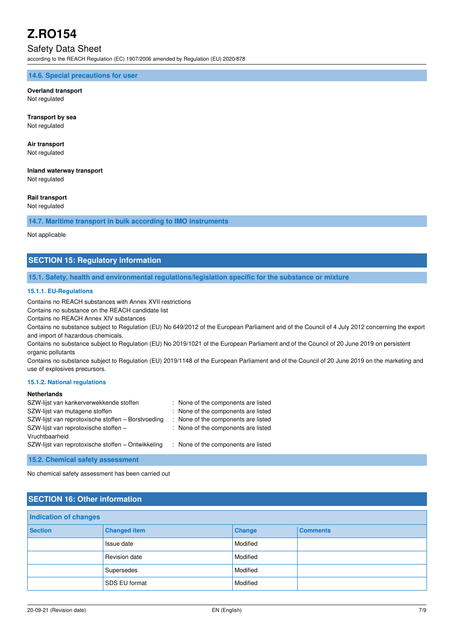## Safety Data Sheet

according to the REACH Regulation (EC) 1907/2006 amended by Regulation (EU) 2020/878

#### **14.6. Special precautions for user**

## **Overland transport**

Not regulated

**Transport by sea**  Not regulated

## **Air transport**

Not regulated

## **Inland waterway transport**

Not regulated

#### **Rail transport**

Not regulated

### **14.7. Maritime transport in bulk according to IMO instruments**

Not applicable

## **SECTION 15: Regulatory information**

#### **15.1. Safety, health and environmental regulations/legislation specific for the substance or mixture**

#### **15.1.1. EU-Regulations**

Contains no REACH substances with Annex XVII restrictions

Contains no substance on the REACH candidate list

Contains no REACH Annex XIV substances

Contains no substance subject to Regulation (EU) No 649/2012 of the European Parliament and of the Council of 4 July 2012 concerning the export and import of hazardous chemicals.

Contains no substance subject to Regulation (EU) No 2019/1021 of the European Parliament and of the Council of 20 June 2019 on persistent organic pollutants

Contains no substance subject to Regulation (EU) 2019/1148 of the European Parliament and of the Council of 20 June 2019 on the marketing and use of explosives precursors.

#### **15.1.2. National regulations**

### **Netherlands**

| SZW-lijst van kankerverwekkende stoffen            | : None of the components are listed |
|----------------------------------------------------|-------------------------------------|
| SZW-lijst van mutagene stoffen                     | : None of the components are listed |
| SZW-lijst van reprotoxische stoffen – Borstvoeding | : None of the components are listed |
| SZW-lijst van reprotoxische stoffen -              | : None of the components are listed |
| Vruchtbaarheid                                     |                                     |
| SZW-lijst van reprotoxische stoffen – Ontwikkeling | : None of the components are listed |

**15.2. Chemical safety assessment** 

No chemical safety assessment has been carried out

## **SECTION 16: Other information**

| Indication of changes |                      |          |                 |
|-----------------------|----------------------|----------|-----------------|
| <b>Section</b>        | <b>Changed item</b>  | Change   | <b>Comments</b> |
|                       | Issue date           | Modified |                 |
|                       | Revision date        | Modified |                 |
|                       | Supersedes           | Modified |                 |
|                       | <b>SDS EU format</b> | Modified |                 |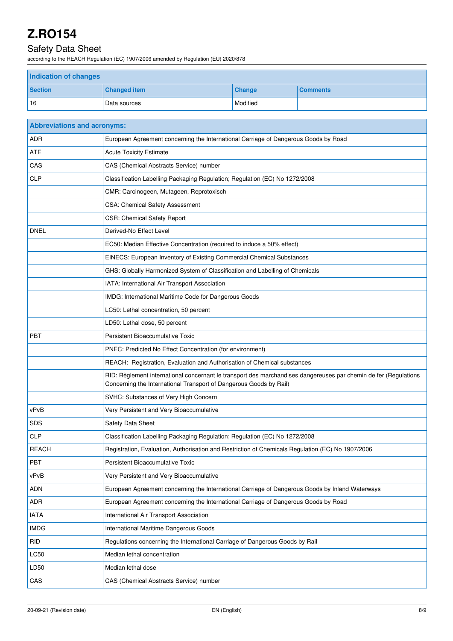## Safety Data Sheet

according to the REACH Regulation (EC) 1907/2006 amended by Regulation (EU) 2020/878

| <b>Indication of changes</b> |                     |               |                 |
|------------------------------|---------------------|---------------|-----------------|
| <b>Section</b>               | <b>Changed item</b> | <b>Change</b> | <b>Comments</b> |
| 16                           | Data sources        | Modified      |                 |

| <b>Abbreviations and acronyms:</b> |                                                                                                                                                                                        |
|------------------------------------|----------------------------------------------------------------------------------------------------------------------------------------------------------------------------------------|
| <b>ADR</b>                         | European Agreement concerning the International Carriage of Dangerous Goods by Road                                                                                                    |
| <b>ATE</b>                         | <b>Acute Toxicity Estimate</b>                                                                                                                                                         |
| CAS                                | CAS (Chemical Abstracts Service) number                                                                                                                                                |
| <b>CLP</b>                         | Classification Labelling Packaging Regulation; Regulation (EC) No 1272/2008                                                                                                            |
|                                    | CMR: Carcinogeen, Mutageen, Reprotoxisch                                                                                                                                               |
|                                    | CSA: Chemical Safety Assessment                                                                                                                                                        |
|                                    | <b>CSR: Chemical Safety Report</b>                                                                                                                                                     |
| <b>DNEL</b>                        | Derived-No Effect Level                                                                                                                                                                |
|                                    | EC50: Median Effective Concentration (required to induce a 50% effect)                                                                                                                 |
|                                    | EINECS: European Inventory of Existing Commercial Chemical Substances                                                                                                                  |
|                                    | GHS: Globally Harmonized System of Classification and Labelling of Chemicals                                                                                                           |
|                                    | IATA: International Air Transport Association                                                                                                                                          |
|                                    | IMDG: International Maritime Code for Dangerous Goods                                                                                                                                  |
|                                    | LC50: Lethal concentration, 50 percent                                                                                                                                                 |
|                                    | LD50: Lethal dose, 50 percent                                                                                                                                                          |
| <b>PBT</b>                         | Persistent Bioaccumulative Toxic                                                                                                                                                       |
|                                    | PNEC: Predicted No Effect Concentration (for environment)                                                                                                                              |
|                                    | REACH: Registration, Evaluation and Authorisation of Chemical substances                                                                                                               |
|                                    | RID: Règlement international concernant le transport des marchandises dangereuses par chemin de fer (Regulations<br>Concerning the International Transport of Dangerous Goods by Rail) |
|                                    | SVHC: Substances of Very High Concern                                                                                                                                                  |
| vPvB                               | Very Persistent and Very Bioaccumulative                                                                                                                                               |
| <b>SDS</b>                         | Safety Data Sheet                                                                                                                                                                      |
| <b>CLP</b>                         | Classification Labelling Packaging Regulation; Regulation (EC) No 1272/2008                                                                                                            |
| <b>REACH</b>                       | Registration, Evaluation, Authorisation and Restriction of Chemicals Regulation (EC) No 1907/2006                                                                                      |
| PBT                                | Persistent Bioaccumulative Toxic                                                                                                                                                       |
| vPvB                               | Very Persistent and Very Bioaccumulative                                                                                                                                               |
| <b>ADN</b>                         | European Agreement concerning the International Carriage of Dangerous Goods by Inland Waterways                                                                                        |
| <b>ADR</b>                         | European Agreement concerning the International Carriage of Dangerous Goods by Road                                                                                                    |
| <b>IATA</b>                        | International Air Transport Association                                                                                                                                                |
| <b>IMDG</b>                        | International Maritime Dangerous Goods                                                                                                                                                 |
| <b>RID</b>                         | Regulations concerning the International Carriage of Dangerous Goods by Rail                                                                                                           |
| LC50                               | Median lethal concentration                                                                                                                                                            |
| LD50                               | Median lethal dose                                                                                                                                                                     |
| CAS                                | CAS (Chemical Abstracts Service) number                                                                                                                                                |